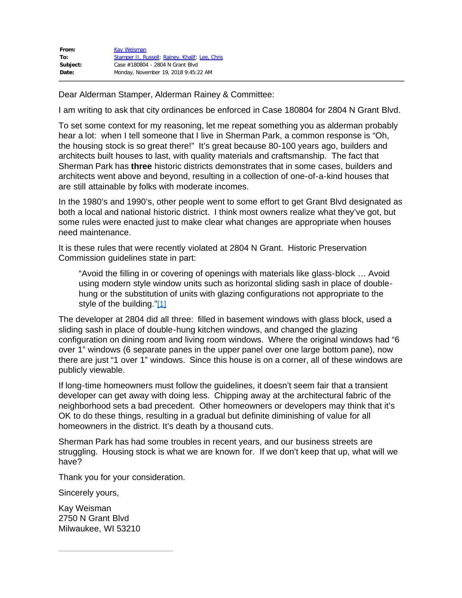| From:    | <b>Kay Weisman</b>                              |
|----------|-------------------------------------------------|
| To:      | Stamper II, Russell; Rainey, Khalif; Lee, Chris |
| Subject: | Case #180804 - 2804 N Grant Blvd                |
| Date:    | Monday, November 19, 2018 9:45:22 AM            |

Dear Alderman Stamper, Alderman Rainey & Committee:

I am writing to ask that city ordinances be enforced in Case 180804 for 2804 N Grant Blvd.

To set some context for my reasoning, let me repeat something you as alderman probably hear a lot: when I tell someone that I live in Sherman Park, a common response is "Oh, the housing stock is so great there!" It's great because 80-100 years ago, builders and architects built houses to last, with quality materials and craftsmanship. The fact that Sherman Park has **three** historic districts demonstrates that in some cases, builders and architects went above and beyond, resulting in a collection of one-of-a-kind houses that are still attainable by folks with moderate incomes.

In the 1980's and 1990's, other people went to some effort to get Grant Blvd designated as both a local and national historic district. I think most owners realize what they've got, but some rules were enacted just to make clear what changes are appropriate when houses need maintenance.

It is these rules that were recently violated at 2804 N Grant. Historic Preservation Commission guidelines state in part:

"Avoid the filling in or covering of openings with materials like glass-block … Avoid using modern style window units such as horizontal sliding sash in place of doublehung or the substitution of units with glazing configurations not appropriate to the style of the building.["\[1\]](https://d.docs.live.net/627e9356a1c9526f/Documents/Letter%202804%20Grant.docx#_ftn1)

The developer at 2804 did all three: filled in basement windows with glass block, used a sliding sash in place of double-hung kitchen windows, and changed the glazing configuration on dining room and living room windows. Where the original windows had "6 over 1" windows (6 separate panes in the upper panel over one large bottom pane), now there are just "1 over 1" windows. Since this house is on a corner, all of these windows are publicly viewable.

If long-time homeowners must follow the guidelines, it doesn't seem fair that a transient developer can get away with doing less. Chipping away at the architectural fabric of the neighborhood sets a bad precedent. Other homeowners or developers may think that it's OK to do these things, resulting in a gradual but definite diminishing of value for all homeowners in the district. It's death by a thousand cuts.

Sherman Park has had some troubles in recent years, and our business streets are struggling. Housing stock is what we are known for. If we don't keep that up, what will we have?

Thank you for your consideration.

Sincerely yours,

Kay Weisman 2750 N Grant Blvd Milwaukee, WI 53210